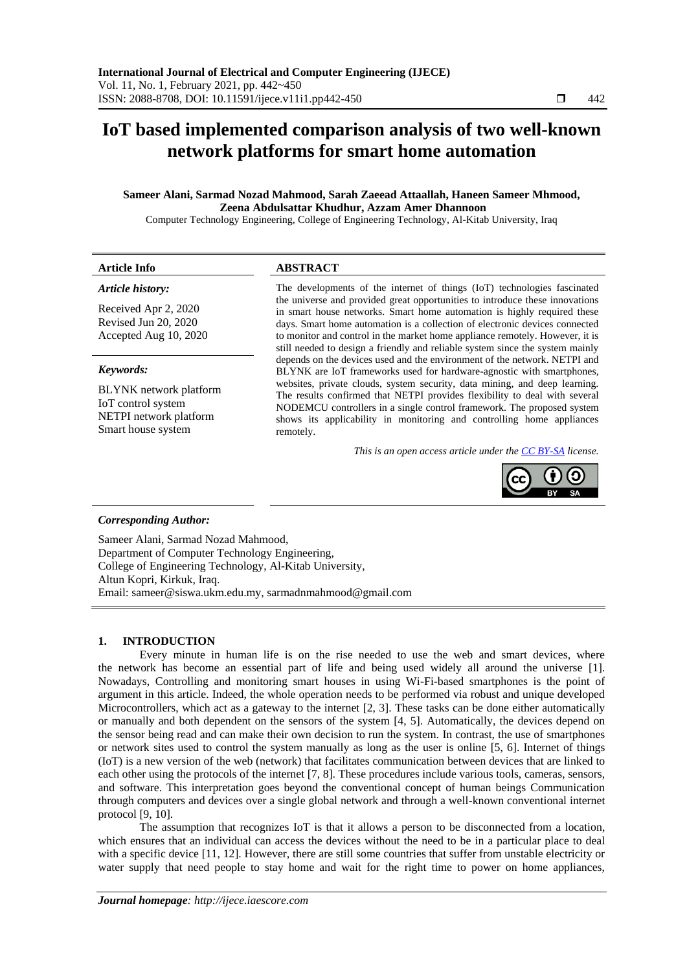# **IoT based implemented comparison analysis of two well-known network platforms for smart home automation**

# **Sameer Alani, Sarmad Nozad Mahmood, Sarah Zaeead Attaallah, Haneen Sameer Mhmood, Zeena Abdulsattar Khudhur, Azzam Amer Dhannoon**

Computer Technology Engineering, College of Engineering Technology, Al-Kitab University, Iraq

| Article Info          | <b>ABSTRACT</b>                                                                                                                                                                                                                     |
|-----------------------|-------------------------------------------------------------------------------------------------------------------------------------------------------------------------------------------------------------------------------------|
| Article history:      | The developments of the internet of things (IoT) technologies fascinated<br>the universe and provided great opportunities to introduce these innovations<br>in smart house networks. Smart home automation is highly required these |
| Received Apr 2, 2020  |                                                                                                                                                                                                                                     |
| Revised Jun 20, 2020  | days. Smart home automation is a collection of electronic devices connected                                                                                                                                                         |
| Accepted Aug 10, 2020 | to monitor and control in the market home appliance remotely. However, it is                                                                                                                                                        |

#### *Keywords:*

BLYNK network platform IoT control system NETPI network platform Smart house system

still needed to design a friendly and reliable system since the system mainly depends on the devices used and the environment of the network. NETPI and BLYNK are IoT frameworks used for hardware-agnostic with smartphones, websites, private clouds, system security, data mining, and deep learning. The results confirmed that NETPI provides flexibility to deal with several NODEMCU controllers in a single control framework. The proposed system shows its applicability in monitoring and controlling home appliances remotely.

*This is an open access article under the [CC BY-SA](https://creativecommons.org/licenses/by-sa/4.0/) license.*



# *Corresponding Author:*

Sameer Alani, Sarmad Nozad Mahmood, Department of Computer Technology Engineering, College of Engineering Technology, Al-Kitab University, Altun Kopri, Kirkuk, Iraq. Email: [sameer@siswa.ukm.edu.my,](mailto:sameer@siswa.ukm.edu.my) [sarmadnmahmood@gmail.com](mailto:sarmadnmahmood@gmail.com)

#### **1. INTRODUCTION**

Every minute in human life is on the rise needed to use the web and smart devices, where the network has become an essential part of life and being used widely all around the universe [1]. Nowadays, Controlling and monitoring smart houses in using Wi-Fi-based smartphones is the point of argument in this article. Indeed, the whole operation needs to be performed via robust and unique developed Microcontrollers, which act as a gateway to the internet [2, 3]. These tasks can be done either automatically or manually and both dependent on the sensors of the system [4, 5]. Automatically, the devices depend on the sensor being read and can make their own decision to run the system. In contrast, the use of smartphones or network sites used to control the system manually as long as the user is online [5, 6]. Internet of things (IoT) is a new version of the web (network) that facilitates communication between devices that are linked to each other using the protocols of the internet [7, 8]. These procedures include various tools, cameras, sensors, and software. This interpretation goes beyond the conventional concept of human beings Communication through computers and devices over a single global network and through a well-known conventional internet protocol [9, 10].

The assumption that recognizes IoT is that it allows a person to be disconnected from a location, which ensures that an individual can access the devices without the need to be in a particular place to deal with a specific device [11, 12]. However, there are still some countries that suffer from unstable electricity or water supply that need people to stay home and wait for the right time to power on home appliances,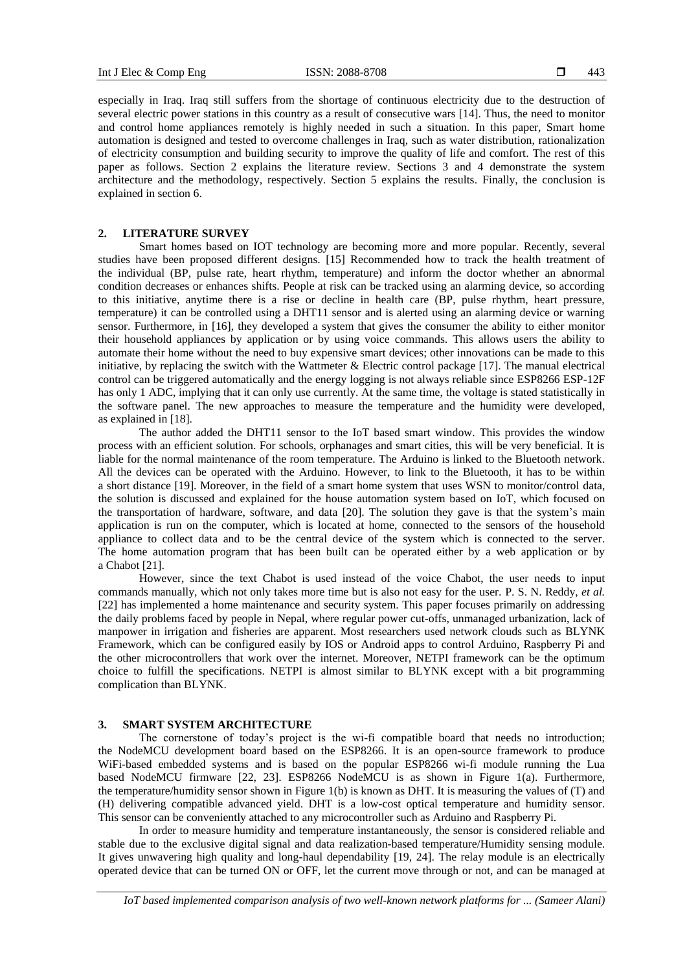especially in Iraq. Iraq still suffers from the shortage of continuous electricity due to the destruction of several electric power stations in this country as a result of consecutive wars [14]. Thus, the need to monitor and control home appliances remotely is highly needed in such a situation. In this paper, Smart home automation is designed and tested to overcome challenges in Iraq, such as water distribution, rationalization of electricity consumption and building security to improve the quality of life and comfort. The rest of this paper as follows. Section 2 explains the literature review. Sections 3 and 4 demonstrate the system architecture and the methodology, respectively. Section 5 explains the results. Finally, the conclusion is explained in section 6.

#### **2. LITERATURE SURVEY**

Smart homes based on IOT technology are becoming more and more popular. Recently, several studies have been proposed different designs. [15] Recommended how to track the health treatment of the individual (BP, pulse rate, heart rhythm, temperature) and inform the doctor whether an abnormal condition decreases or enhances shifts. People at risk can be tracked using an alarming device, so according to this initiative, anytime there is a rise or decline in health care (BP, pulse rhythm, heart pressure, temperature) it can be controlled using a DHT11 sensor and is alerted using an alarming device or warning sensor. Furthermore, in [16], they developed a system that gives the consumer the ability to either monitor their household appliances by application or by using voice commands. This allows users the ability to automate their home without the need to buy expensive smart devices; other innovations can be made to this initiative, by replacing the switch with the Wattmeter & Electric control package [17]. The manual electrical control can be triggered automatically and the energy logging is not always reliable since ESP8266 ESP-12F has only 1 ADC, implying that it can only use currently. At the same time, the voltage is stated statistically in the software panel. The new approaches to measure the temperature and the humidity were developed, as explained in [18].

The author added the DHT11 sensor to the IoT based smart window. This provides the window process with an efficient solution. For schools, orphanages and smart cities, this will be very beneficial. It is liable for the normal maintenance of the room temperature. The Arduino is linked to the Bluetooth network. All the devices can be operated with the Arduino. However, to link to the Bluetooth, it has to be within a short distance [19]. Moreover, in the field of a smart home system that uses WSN to monitor/control data, the solution is discussed and explained for the house automation system based on IoT, which focused on the transportation of hardware, software, and data [20]. The solution they gave is that the system's main application is run on the computer, which is located at home, connected to the sensors of the household appliance to collect data and to be the central device of the system which is connected to the server. The home automation program that has been built can be operated either by a web application or by a Chabot [21].

However, since the text Chabot is used instead of the voice Chabot, the user needs to input commands manually, which not only takes more time but is also not easy for the user. P. S. N. Reddy, *et al.* [22] has implemented a home maintenance and security system. This paper focuses primarily on addressing the daily problems faced by people in Nepal, where regular power cut-offs, unmanaged urbanization, lack of manpower in irrigation and fisheries are apparent. Most researchers used network clouds such as BLYNK Framework, which can be configured easily by IOS or Android apps to control Arduino, Raspberry Pi and the other microcontrollers that work over the internet. Moreover, NETPI framework can be the optimum choice to fulfill the specifications. NETPI is almost similar to BLYNK except with a bit programming complication than BLYNK.

#### **3. SMART SYSTEM ARCHITECTURE**

The cornerstone of today's project is the wi-fi compatible board that needs no introduction; the NodeMCU development board based on the ESP8266. It is an open-source framework to produce WiFi-based embedded systems and is based on the popular ESP8266 wi-fi module running the Lua based NodeMCU firmware [22, 23]. ESP8266 NodeMCU is as shown in Figure 1(a). Furthermore, the temperature/humidity sensor shown in Figure 1(b) is known as DHT. It is measuring the values of (T) and (H) delivering compatible advanced yield. DHT is a low-cost optical temperature and humidity sensor. This sensor can be conveniently attached to any microcontroller such as Arduino and Raspberry Pi.

In order to measure humidity and temperature instantaneously, the sensor is considered reliable and stable due to the exclusive digital signal and data realization-based temperature/Humidity sensing module. It gives unwavering high quality and long-haul dependability [19, 24]. The relay module is an electrically operated device that can be turned ON or OFF, let the current move through or not, and can be managed at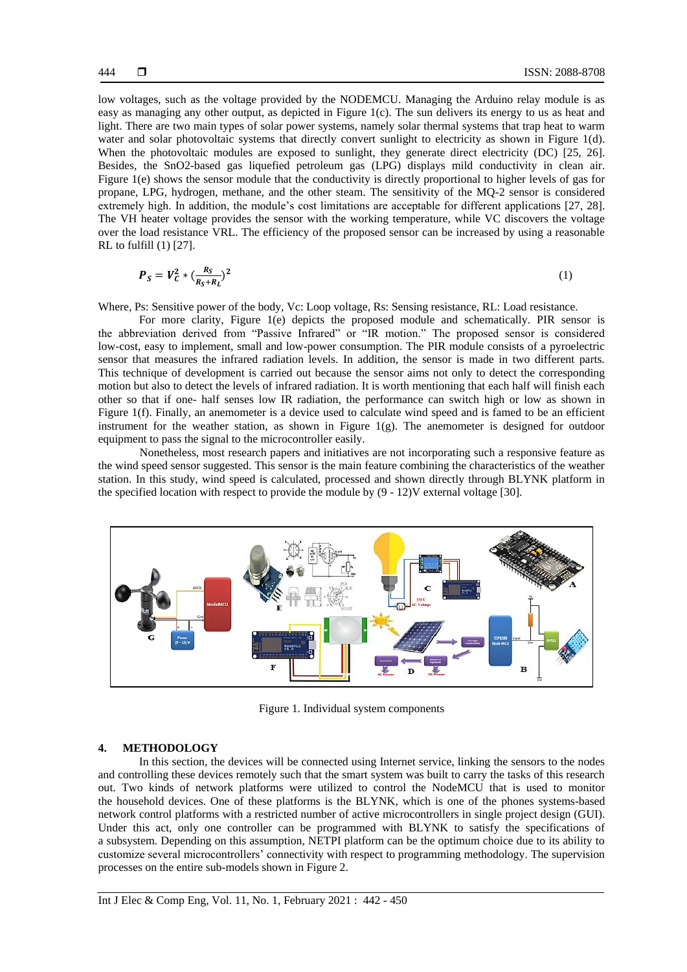low voltages, such as the voltage provided by the NODEMCU. Managing the Arduino relay module is as easy as managing any other output, as depicted in Figure 1(c). The sun delivers its energy to us as heat and light. There are two main types of solar power systems, namely solar thermal systems that trap heat to warm water and solar photovoltaic systems that directly convert sunlight to electricity as shown in Figure 1(d). When the photovoltaic modules are exposed to sunlight, they generate direct electricity (DC) [25, 26]. Besides, the SnO2-based gas liquefied petroleum gas (LPG) displays mild conductivity in clean air. Figure 1(e) shows the sensor module that the conductivity is directly proportional to higher levels of gas for propane, LPG, hydrogen, methane, and the other steam. The sensitivity of the MQ-2 sensor is considered extremely high. In addition, the module's cost limitations are acceptable for different applications [27, 28]. The VH heater voltage provides the sensor with the working temperature, while VC discovers the voltage over the load resistance VRL. The efficiency of the proposed sensor can be increased by using a reasonable RL to fulfill (1) [27].

$$
P_S = V_C^2 * (\frac{R_S}{R_S + R_L})^2
$$
 (1)

Where, Ps: Sensitive power of the body, Vc: Loop voltage, Rs: Sensing resistance, RL: Load resistance.

For more clarity, Figure 1(e) depicts the proposed module and schematically. PIR sensor is the abbreviation derived from "Passive Infrared" or "IR motion." The proposed sensor is considered low-cost, easy to implement, small and low-power consumption. The PIR module consists of a pyroelectric sensor that measures the infrared radiation levels. In addition, the sensor is made in two different parts. This technique of development is carried out because the sensor aims not only to detect the corresponding motion but also to detect the levels of infrared radiation. It is worth mentioning that each half will finish each other so that if one- half senses low IR radiation, the performance can switch high or low as shown in Figure 1(f). Finally, an anemometer is a device used to calculate wind speed and is famed to be an efficient instrument for the weather station, as shown in Figure  $1(g)$ . The anemometer is designed for outdoor equipment to pass the signal to the microcontroller easily.

Nonetheless, most research papers and initiatives are not incorporating such a responsive feature as the wind speed sensor suggested. This sensor is the main feature combining the characteristics of the weather station. In this study, wind speed is calculated, processed and shown directly through BLYNK platform in the specified location with respect to provide the module by (9 - 12)V external voltage [30].



Figure 1. Individual system components

#### **4. METHODOLOGY**

In this section, the devices will be connected using Internet service, linking the sensors to the nodes and controlling these devices remotely such that the smart system was built to carry the tasks of this research out. Two kinds of network platforms were utilized to control the NodeMCU that is used to monitor the household devices. One of these platforms is the BLYNK, which is one of the phones systems-based network control platforms with a restricted number of active microcontrollers in single project design (GUI). Under this act, only one controller can be programmed with BLYNK to satisfy the specifications of a subsystem. Depending on this assumption, NETPI platform can be the optimum choice due to its ability to customize several microcontrollers' connectivity with respect to programming methodology. The supervision processes on the entire sub-models shown in Figure 2.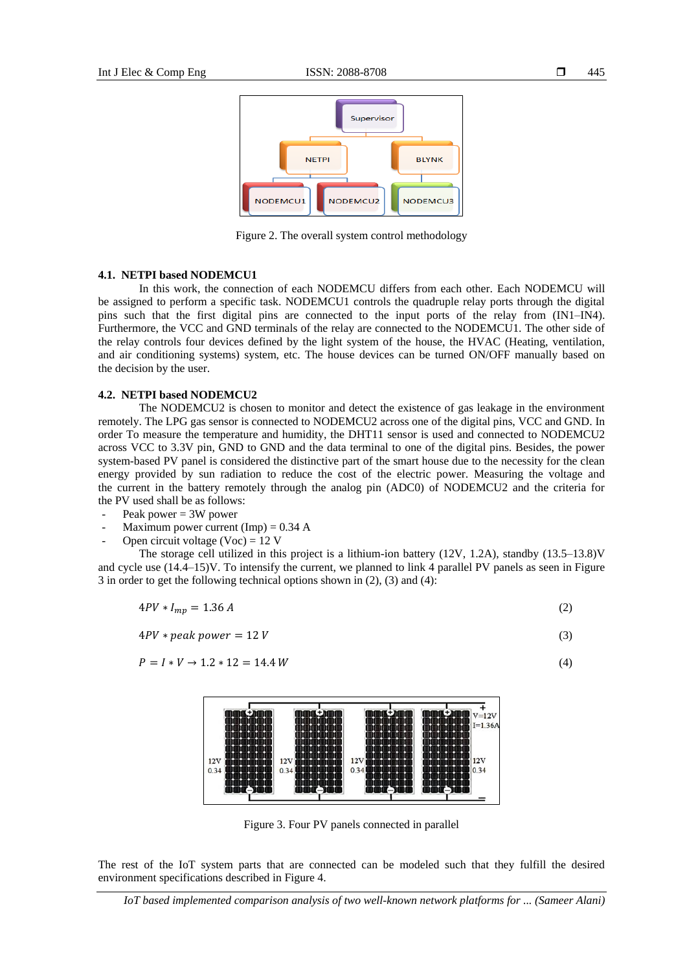

Figure 2. The overall system control methodology

## **4.1. NETPI based NODEMCU1**

In this work, the connection of each NODEMCU differs from each other. Each NODEMCU will be assigned to perform a specific task. NODEMCU1 controls the quadruple relay ports through the digital pins such that the first digital pins are connected to the input ports of the relay from (IN1–IN4). Furthermore, the VCC and GND terminals of the relay are connected to the NODEMCU1. The other side of the relay controls four devices defined by the light system of the house, the HVAC (Heating, ventilation, and air conditioning systems) system, etc. The house devices can be turned ON/OFF manually based on the decision by the user.

#### **4.2. NETPI based NODEMCU2**

The NODEMCU2 is chosen to monitor and detect the existence of gas leakage in the environment remotely. The LPG gas sensor is connected to NODEMCU2 across one of the digital pins, VCC and GND. In order To measure the temperature and humidity, the DHT11 sensor is used and connected to NODEMCU2 across VCC to 3.3V pin, GND to GND and the data terminal to one of the digital pins. Besides, the power system-based PV panel is considered the distinctive part of the smart house due to the necessity for the clean energy provided by sun radiation to reduce the cost of the electric power. Measuring the voltage and the current in the battery remotely through the analog pin (ADC0) of NODEMCU2 and the criteria for the PV used shall be as follows:

- Peak power  $= 3W$  power
- Maximum power current (Imp) =  $0.34$  A
- Open circuit voltage (Voc) =  $12$  V

The storage cell utilized in this project is a lithium-ion battery  $(12V, 1.2A)$ , standby  $(13.5-13.8)V$ and cycle use (14.4–15)V. To intensify the current, we planned to link 4 parallel PV panels as seen in Figure 3 in order to get the following technical options shown in (2), (3) and (4):

$$
4PV * I_{mp} = 1.36 A \tag{2}
$$

$$
4PV * peak power = 12 V \tag{3}
$$

$$
P = I * V \to 1.2 * 12 = 14.4 W \tag{4}
$$



Figure 3. Four PV panels connected in parallel

The rest of the IoT system parts that are connected can be modeled such that they fulfill the desired environment specifications described in Figure 4.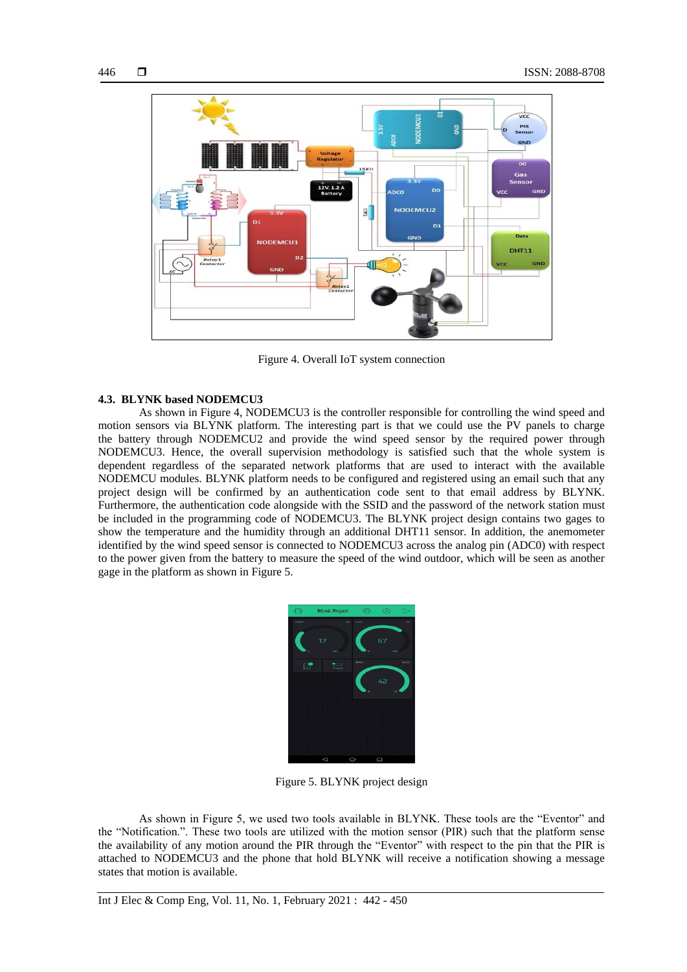

Figure 4. Overall IoT system connection

## **4.3. BLYNK based NODEMCU3**

As shown in Figure 4, NODEMCU3 is the controller responsible for controlling the wind speed and motion sensors via BLYNK platform. The interesting part is that we could use the PV panels to charge the battery through NODEMCU2 and provide the wind speed sensor by the required power through NODEMCU3. Hence, the overall supervision methodology is satisfied such that the whole system is dependent regardless of the separated network platforms that are used to interact with the available NODEMCU modules. BLYNK platform needs to be configured and registered using an email such that any project design will be confirmed by an authentication code sent to that email address by BLYNK. Furthermore, the authentication code alongside with the SSID and the password of the network station must be included in the programming code of NODEMCU3. The BLYNK project design contains two gages to show the temperature and the humidity through an additional DHT11 sensor. In addition, the anemometer identified by the wind speed sensor is connected to NODEMCU3 across the analog pin (ADC0) with respect to the power given from the battery to measure the speed of the wind outdoor, which will be seen as another gage in the platform as shown in Figure 5.



Figure 5. BLYNK project design

As shown in Figure 5, we used two tools available in BLYNK. These tools are the "Eventor" and the "Notification.". These two tools are utilized with the motion sensor (PIR) such that the platform sense the availability of any motion around the PIR through the "Eventor" with respect to the pin that the PIR is attached to NODEMCU3 and the phone that hold BLYNK will receive a notification showing a message states that motion is available.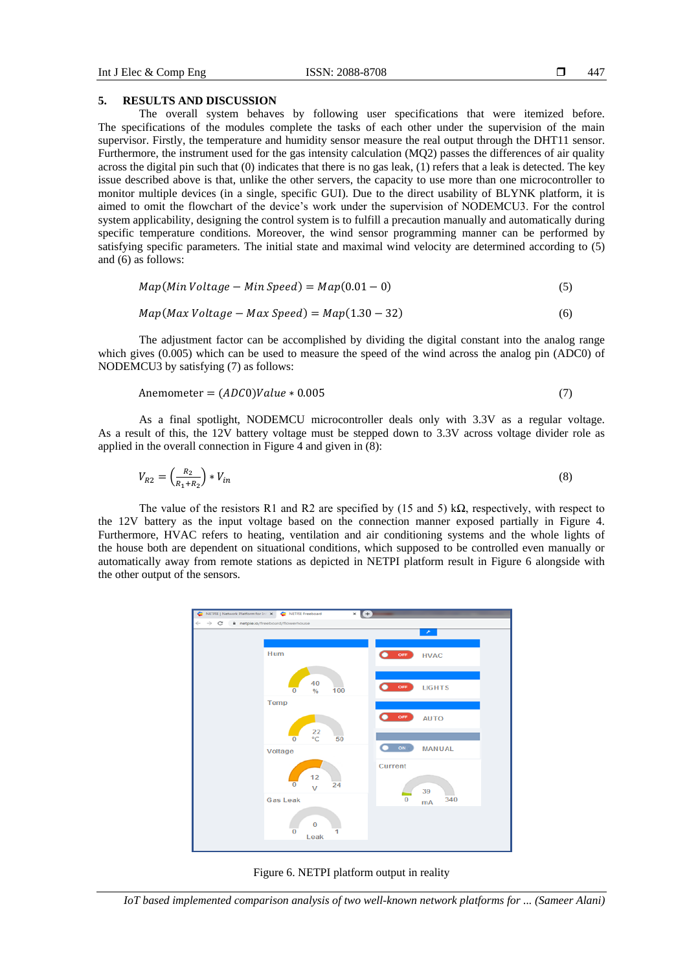## **5. RESULTS AND DISCUSSION**

The overall system behaves by following user specifications that were itemized before. The specifications of the modules complete the tasks of each other under the supervision of the main supervisor. Firstly, the temperature and humidity sensor measure the real output through the DHT11 sensor. Furthermore, the instrument used for the gas intensity calculation (MQ2) passes the differences of air quality across the digital pin such that (0) indicates that there is no gas leak, (1) refers that a leak is detected. The key issue described above is that, unlike the other servers, the capacity to use more than one microcontroller to monitor multiple devices (in a single, specific GUI). Due to the direct usability of BLYNK platform, it is aimed to omit the flowchart of the device's work under the supervision of NODEMCU3. For the control system applicability, designing the control system is to fulfill a precaution manually and automatically during specific temperature conditions. Moreover, the wind sensor programming manner can be performed by satisfying specific parameters. The initial state and maximal wind velocity are determined according to (5) and (6) as follows:

$$
Map(Min Voltage - Min Speed) = Map(0.01 - 0)
$$
\n(5)

$$
Map(Max \; Voltage - Max \; Speed) = Map(1.30 - 32) \tag{6}
$$

The adjustment factor can be accomplished by dividing the digital constant into the analog range which gives (0.005) which can be used to measure the speed of the wind across the analog pin (ADC0) of NODEMCU3 by satisfying (7) as follows:

$$
Anemometer = (ADC0)Value * 0.005 \tag{7}
$$

As a final spotlight, NODEMCU microcontroller deals only with 3.3V as a regular voltage. As a result of this, the 12V battery voltage must be stepped down to 3.3V across voltage divider role as applied in the overall connection in Figure 4 and given in (8):

$$
V_{R2} = \left(\frac{R_2}{R_1 + R_2}\right) * V_{in} \tag{8}
$$

The value of the resistors R1 and R2 are specified by (15 and 5) k $\Omega$ , respectively, with respect to the 12V battery as the input voltage based on the connection manner exposed partially in Figure 4. Furthermore, HVAC refers to heating, ventilation and air conditioning systems and the whole lights of the house both are dependent on situational conditions, which supposed to be controlled even manually or automatically away from remote stations as depicted in NETPI platform result in Figure 6 alongside with the other output of the sensors.



Figure 6. NETPI platform output in reality

*IoT based implemented comparison analysis of two well-known network platforms for ... (Sameer Alani)*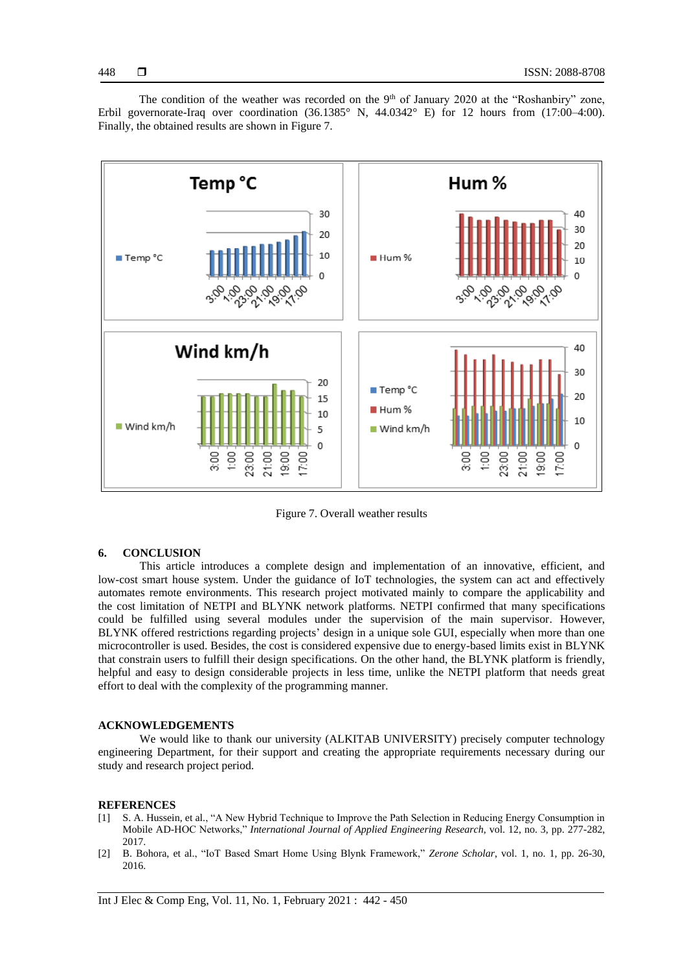The condition of the weather was recorded on the 9<sup>th</sup> of January 2020 at the "Roshanbiry" zone, Erbil governorate-Iraq over coordination  $(36.1385^{\circ} \text{ N}, 44.0342^{\circ} \text{ E})$  for 12 hours from  $(17:00-4:00)$ . Finally, the obtained results are shown in Figure 7.



Figure 7. Overall weather results

# **6. CONCLUSION**

This article introduces a complete design and implementation of an innovative, efficient, and low-cost smart house system. Under the guidance of IoT technologies, the system can act and effectively automates remote environments. This research project motivated mainly to compare the applicability and the cost limitation of NETPI and BLYNK network platforms. NETPI confirmed that many specifications could be fulfilled using several modules under the supervision of the main supervisor. However, BLYNK offered restrictions regarding projects' design in a unique sole GUI, especially when more than one microcontroller is used. Besides, the cost is considered expensive due to energy-based limits exist in BLYNK that constrain users to fulfill their design specifications. On the other hand, the BLYNK platform is friendly, helpful and easy to design considerable projects in less time, unlike the NETPI platform that needs great effort to deal with the complexity of the programming manner.

#### **ACKNOWLEDGEMENTS**

We would like to thank our university (ALKITAB UNIVERSITY) precisely computer technology engineering Department, for their support and creating the appropriate requirements necessary during our study and research project period.

# **REFERENCES**

- [1] S. A. Hussein, et al., "A New Hybrid Technique to Improve the Path Selection in Reducing Energy Consumption in Mobile AD-HOC Networks," *International Journal of Applied Engineering Research*, vol. 12, no. 3, pp. 277-282, 2017.
- [2] B. Bohora, et al., "IoT Based Smart Home Using Blynk Framework," *Zerone Scholar*, vol. 1, no. 1, pp. 26-30, 2016.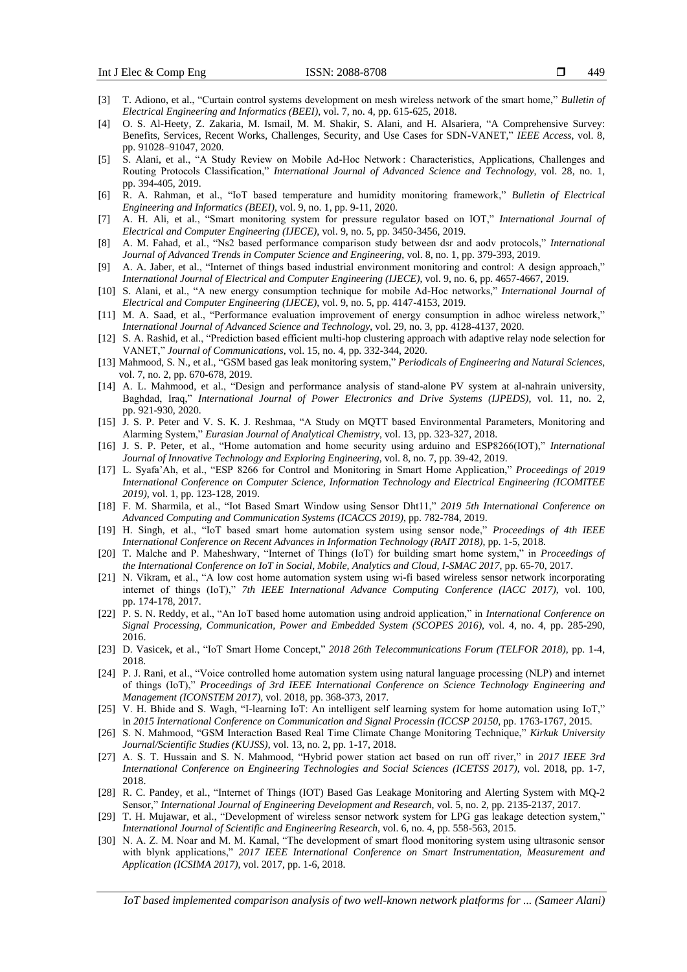- [3] T. Adiono, et al., "Curtain control systems development on mesh wireless network of the smart home," *Bulletin of Electrical Engineering and Informatics (BEEI)*, vol. 7, no. 4, pp. 615-625, 2018.
- [4] O. S. Al-Heety, Z. Zakaria, M. Ismail, M. M. Shakir, S. Alani, and H. Alsariera, "A Comprehensive Survey: Benefits, Services, Recent Works, Challenges, Security, and Use Cases for SDN-VANET," *IEEE Access*, vol. 8, pp. 91028–91047, 2020.
- [5] S. Alani, et al., "A Study Review on Mobile Ad-Hoc Network : Characteristics, Applications, Challenges and Routing Protocols Classification," *International Journal of Advanced Science and Technology*, vol. 28, no. 1, pp. 394-405, 2019.
- [6] R. A. Rahman, et al., "IoT based temperature and humidity monitoring framework," *Bulletin of Electrical Engineering and Informatics (BEEI)*, vol. 9, no. 1, pp. 9-11, 2020.
- [7] A. H. Ali, et al., "Smart monitoring system for pressure regulator based on IOT," *International Journal of Electrical and Computer Engineering (IJECE)*, vol. 9, no. 5, pp. 3450-3456, 2019.
- [8] A. M. Fahad, et al., "Ns2 based performance comparison study between dsr and aodv protocols," *International Journal of Advanced Trends in Computer Science and Engineering*, vol. 8, no. 1, pp. 379-393, 2019.
- [9] A. A. Jaber, et al., "Internet of things based industrial environment monitoring and control: A design approach," *International Journal of Electrical and Computer Engineering (IJECE)*, vol. 9, no. 6, pp. 4657-4667, 2019.
- [10] S. Alani, et al., "A new energy consumption technique for mobile Ad-Hoc networks," *International Journal of Electrical and Computer Engineering (IJECE)*, vol. 9, no. 5, pp. 4147-4153, 2019.
- [11] M. A. Saad, et al., "Performance evaluation improvement of energy consumption in adhoc wireless network," *International Journal of Advanced Science and Technology*, vol. 29, no. 3, pp. 4128-4137, 2020.
- [12] S. A. Rashid, et al., "Prediction based efficient multi-hop clustering approach with adaptive relay node selection for VANET," *Journal of Communications*, vol. 15, no. 4, pp. 332-344, 2020.
- [13] Mahmood, S. N., et al., "GSM based gas leak monitoring system," *Periodicals of Engineering and Natural Sciences*, vol. 7, no. 2, pp. 670-678, 2019.
- [14] A. L. Mahmood, et al., "Design and performance analysis of stand-alone PV system at al-nahrain university, Baghdad, Iraq," *International Journal of Power Electronics and Drive Systems (IJPEDS)*, vol. 11, no. 2, pp. 921-930, 2020.
- [15] J. S. P. Peter and V. S. K. J. Reshmaa, "A Study on MQTT based Environmental Parameters, Monitoring and Alarming System," *Eurasian Journal of Analytical Chemistry*, vol. 13, pp. 323-327, 2018.
- [16] J. S. P. Peter, et al., "Home automation and home security using arduino and ESP8266(IOT)," *International Journal of Innovative Technology and Exploring Engineering*, vol. 8, no. 7, pp. 39-42, 2019.
- [17] L. Syafa'Ah, et al., "ESP 8266 for Control and Monitoring in Smart Home Application," *Proceedings of 2019 International Conference on Computer Science, Information Technology and Electrical Engineering (ICOMITEE 2019)*, vol. 1, pp. 123-128, 2019.
- [18] F. M. Sharmila, et al., "Iot Based Smart Window using Sensor Dht11," *2019 5th International Conference on Advanced Computing and Communication Systems (ICACCS 2019)*, pp. 782-784, 2019.
- [19] H. Singh, et al., "IoT based smart home automation system using sensor node," *Proceedings of 4th IEEE International Conference on Recent Advances in Information Technology (RAIT 2018)*, pp. 1-5, 2018.
- [20] T. Malche and P. Maheshwary, "Internet of Things (IoT) for building smart home system," in *Proceedings of the International Conference on IoT in Social, Mobile, Analytics and Cloud, I-SMAC 2017*, pp. 65-70, 2017.
- [21] N. Vikram, et al., "A low cost home automation system using wi-fi based wireless sensor network incorporating internet of things (IoT)," *7th IEEE International Advance Computing Conference (IACC 2017)*, vol. 100, pp. 174-178, 2017.
- [22] P. S. N. Reddy, et al., "An IoT based home automation using android application," in *International Conference on Signal Processing, Communication, Power and Embedded System (SCOPES 2016)*, vol. 4, no. 4, pp. 285-290, 2016.
- [23] D. Vasicek, et al., "IoT Smart Home Concept," *2018 26th Telecommunications Forum (TELFOR 2018)*, pp. 1-4, 2018.
- [24] P. J. Rani, et al., "Voice controlled home automation system using natural language processing (NLP) and internet of things (IoT)," *Proceedings of 3rd IEEE International Conference on Science Technology Engineering and Management (ICONSTEM 2017)*, vol. 2018, pp. 368-373, 2017.
- [25] V. H. Bhide and S. Wagh, "I-learning IoT: An intelligent self learning system for home automation using IoT," in *2015 International Conference on Communication and Signal Processin (ICCSP 20150*, pp. 1763-1767, 2015.
- [26] S. N. Mahmood, "GSM Interaction Based Real Time Climate Change Monitoring Technique," *Kirkuk University Journal/Scientific Studies (KUJSS)*, vol. 13, no. 2, pp. 1-17, 2018.
- [27] A. S. T. Hussain and S. N. Mahmood, "Hybrid power station act based on run off river," in *2017 IEEE 3rd International Conference on Engineering Technologies and Social Sciences (ICETSS 2017)*, vol. 2018, pp. 1-7, 2018.
- [28] R. C. Pandey, et al., "Internet of Things (IOT) Based Gas Leakage Monitoring and Alerting System with MQ-2 Sensor," *International Journal of Engineering Development and Research*, vol. 5, no. 2, pp. 2135-2137, 2017.
- [29] T. H. Mujawar, et al., "Development of wireless sensor network system for LPG gas leakage detection system," *International Journal of Scientific and Engineering Research*, vol. 6, no. 4, pp. 558-563, 2015.
- [30] N. A. Z. M. Noar and M. M. Kamal, "The development of smart flood monitoring system using ultrasonic sensor with blynk applications," *2017 IEEE International Conference on Smart Instrumentation, Measurement and Application (ICSIMA 2017)*, vol. 2017, pp. 1-6, 2018.